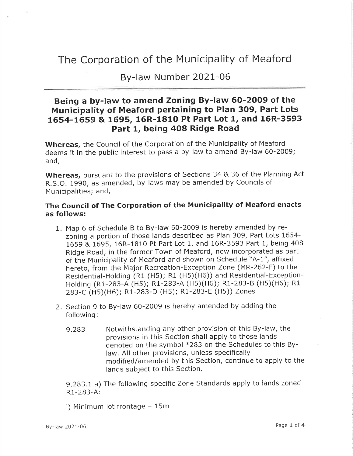# The Corporation of the Municipality of Meaford

By-law Number 2021-06

### Being a by-law to amend Zoning By-law 6O-2009 of the Municipality of Meaford pertaining to Plan 309, Part Lots L654-1659 & 1695, 16R-181O Pt Part Lot 1, and 16R-3593 Part 1, being 408 Ridge Road

Whereas, the Council of the Corporation of the Municipality of Meaford deems it in the public interest to pass a by-law to amend By-law 60-20O9; and,

Whereas, pursuant to the provisions of Sections 34 & 36 of the Planning Act R.S.O. 1990, as amended, by-laws may be amended by Councils of Municipalities; and,

#### The Council of The Corporation of the Municipality of Meaford enacts as follows:

- 1. Map 6 of Schedule B to By-law 60-2009 is hereby amended by rezoning a portion of those lands described as Plan 309, Part Lots 1654- 1659 & 1695,16R-1810 Pt Part Lot 1, and 16R-3593 Part 1, being 408 Ridge Road, in the former Town of Meaford, now incorporated as part of the Municipality of Meaford and shown on Schedule "A-1", affixed hereto, from the Major Recreation-Exception Zone (MR-262-F) to the Residential-Holding (R1 (H5); R1 (H5)(H6)) and Residential-Exception-Holdins (R1-283-A (Hs); R1-283-A (H5)(H6); R1-283-8 (Hs)(H6); Ri-283-C (Hs)(H6); R1-283-D (Hs); R1-283-E (Hs)) Zones
- 2. Section 9 to By-law 60-2009 is hereby amended by adding the following:
	- 9.283 Notwithstanding any other provision of this By-law, the provisions in this Section shall apply to those lands denoted on the symbol \*283 on the Schedules to this Bylaw. All other provisions, unless specifically modified/amended by this Section, continue to apply to the lands subject to this Section.

9.283.1 a) The following specific Zone Standards apply to lands zoned R1-283-A:

i) Minimum lot frontage  $-15m$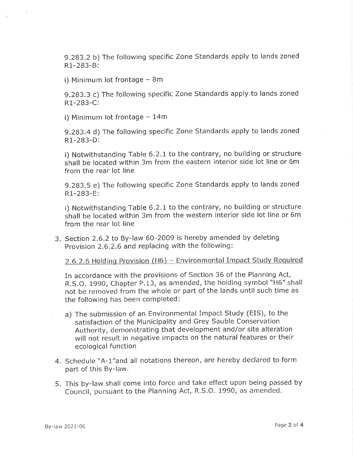9.283.2 b) The following specific Zone Standards apply to lands zoned R1-283-B:

i) Minimum lot frontage  $-8m$ 

9.283.3 c) The following specific Zone Standards apply to lands zoned R1-283-C:

i) Minimum lot frontage  $-14m$ 

9.283.4 d) The following specific Zone Standards apply to lands zoned R1-283-D:

i) Notwithstanding Table 6.2.1 to the contrary, no building or structure shall be located within 3m from the eastern interior side lot line or 6m from the rear lot line

9.283.5 e) The following specific Zone Standards apply to lands zoned R1-283-E:

i) Notwithstanding Table 6.2.1 to the contrary, no building or structure shall be located within 3m from the western interior side lot line or 6m from the rear lot line

3. Section 2.6.2 to By-law 60-2009 is hereby amended by deleting Provision 2.6.2.6 and replacing with the following:

2.6.2.6 Holding Provision (H6) - Environmental Impact Study Required

In accordance with the provisions of Section 36 of the Planning Act, R.S.O. 1990, Chapter P.13, as amended, the holding symbol "H6" shall not be removed from the whole or part of the lands until such time as the following has been completed:

- a) The submission of an Environmental Impact Study (EIS), to the satisfaction of the Municipality and Grey Sauble Conservation Authority, demonstrating that development and/or site alteration will not result in negative impacts on the natural features or their ecological function
- 4. Schedule "A-1"and all notations thereon, are hereby declared to form part of this BY-law.
- 5. This by-law shall come into force and take effect upon being passed by Council, pursuant to the Planning Act, R.S.O. 1990, as amended.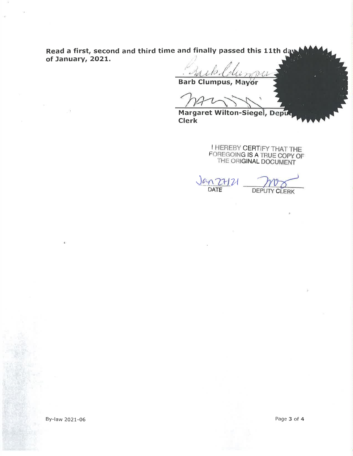Read a first, second and third time and finally passed this 11th day of January, 2O2L.

 $n$  D-Cl

Barb Clumpus, M

Margaret Wilton-Siegel, Deput Clerk

> I HEREBY CERTIFY THAT THE FOREGOING IS A TRUE COPY OF THE ORIGINAL DOCUMENT

N ZH 21<br>DATE **DEPUTY CLERK** 

By-law 2021-06 Page 3 of 4